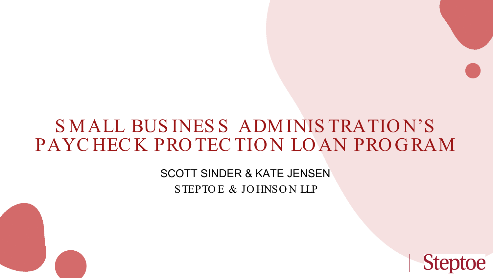# S MALL BUS INES S ADMINIS TRATIO N'S PAYCHECK PROTECTION LOAN PROGRAM

SCOTT SINDER & KATE JENSEN STEPTOE & JOHNSON LLP

**Steptoe**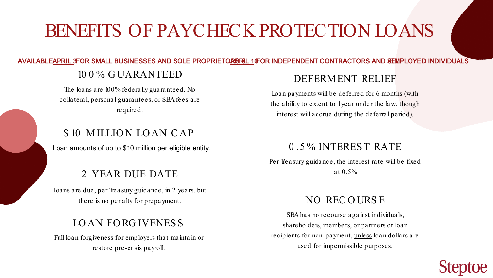Loan amounts of up to \$10 million per eligible entity.

#### DEFERMENT RELIEF

Loan payments will be deferred for 6 months (with the ability to extent to 1 year under the law, though interest will accrue during the deferral period).

Per Treasury guidance, the interest rate will be fixed

SBA has no recourse against individuals, shareholders, members, or partners or loan recipients for non-payment, unless loan dollars are used for impermissible purposes.

### NO REC O URS E



### LO AN FO RG IVENES S

Full loan forgiveness for employers that maintain or restore pre-crisis payroll.

Loans are due, per Treasury guidance, in 2 years, but there is no penalty for prepayment.

# BENEFITS OF PAYCHECK PROTECTION LOANS

#### AVAILABLEAPRIL 3FOR SMALL BUSINESSES AND SOLE PROPRIETORBRIL 10FOR INDEPENDENT CONTRACTORS AND SEMPLOYED INDIVIDUALS

#### 10 0 % G UARANTEED

The loans are 100% federally guaranteed. No collateral, personal guarantees, or SBA fees are required.

#### \$10 MILLION LOAN CAP

### 0 . 5 % INTERES T RATE

### at 0.5% 2 YEAR DUE DATE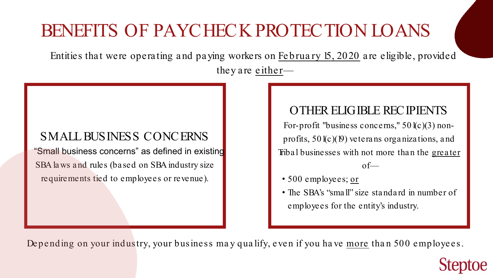OTHER ELIGIBLE RECIPIENTS For-profit "business concerns," 50 l(c)(3) nonprofits, 501(c)(19) vetera ns orga niza tions, a nd Tribal businesses with not more than the greater  $of$ 

- 
- 

Depending on your industry, your business may qualify, even if you have more than 500 employees.

# BENEFITS OF PAYCHECK PROTECTION LOANS

Entities that were operating and paying workers on February 15, 2020 are eligible, provided they are either—

## SMALL BUSINESS CONCERNS "Small business concerns" as defined in existing SBA la ws a nd rules (ba sed on SBA industry size requirements tied to employees or revenue).

• The SBA's "small" size standard in number of employees for the entity's industry.



• 500 employees; or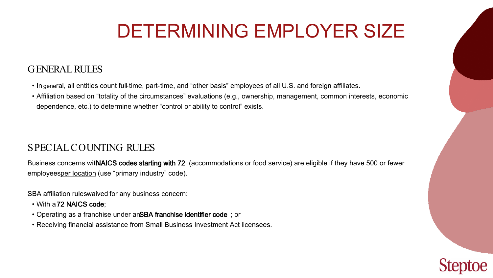### GENERAL RULES

### SPECIAL COUNTING RULES

Business concerns witNAICS codes starting with 72 (accommodations or food service) are eligible if they have 500 or fewer employeesper location (use "primary industry" code).

SBA affiliation ruleswaived for any business concern:

- In general, all entities count full-time, part-time, and "other basis" employees of all U.S. and foreign affiliates.
- Affiliation based on "totality of the circumstances" evaluations (e.g., ownership, management, common interests, economic dependence, etc.) to determine whether "control or ability to control" exists.

- With a 72 NAICS code;
- Operating as a franchise under anSBA franchise identifier code; or
- Receiving financial assistance from Small Business Investment Act licensees.





# DETERMINING EMPLOYER SIZE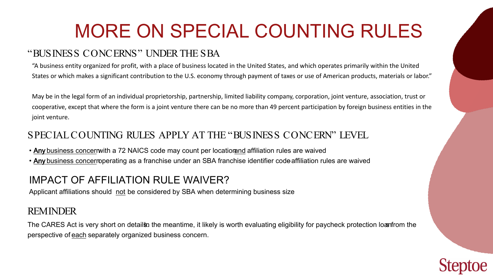### "BUSINESS CONCERNS" UNDER THE SBA

### SPECIAL COUNTING RULES APPLY AT THE "BUSINESS CONCERN" LEVEL

- Any business concernwith a 72 NAICS code may count per locatior and affiliation rules are waived
- Any business concerroperating as a franchise under an SBA franchise identifier code affiliation rules are waived

#### REMINDER

"A business entity organized for profit, with a place of business located in the United States, and which operates primarily within the United States or which makes a significant contribution to the U.S. economy through payment of taxes or use of American products, materials or labor."

May be in the legal form of an individual proprietorship, partnership, limited liability company, corporation, joint venture, association, trust or cooperative, except that where the form is a joint venture there can be no more than 49 percent participation by foreign business entities in the joint venture.

The CARES Act is very short on details the meantime, it likely is worth evaluating eligibility for paycheck protection loanfrom the perspective of each separately organized business concern.





### IMPACT OF AFFILIATION RULE WAIVER?

Applicant affiliations should not be considered by SBA when determining business size

# MORE ON SPECIAL COUNTING RULES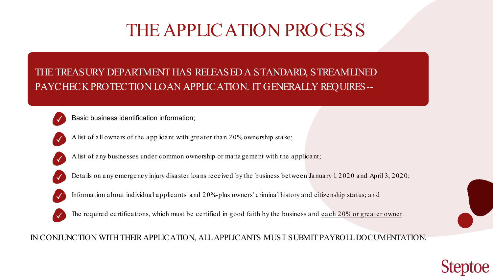## THE TREASURY DEPARTMENT HAS RELEASED A STANDARD, STREAMLINED PAYCHECK PROTECTION LOAN APPLICATION. IT GENERALLY REQUIRES--



Basic business identification information;



A list of all owners of the applicant with greater than 20% ownership stake;



A list of any businesses under common ownership or management with the applicant;



Details on any emergency injury disaster loans received by the business between January 1, 2020 and April 3, 2020;



Information about individual applicants' and 20%-plus owners' criminal history and citizenship status; and



The required certifications, which must be certified in good faith by the business and each 20% or greater owner.

# THE APPLICATION PROCESS

IN CONJUNCTION WITH THEIR APPLICATION, ALL APPLICANTS MUST SUBMIT PAYROLL DOCUMENTATION.





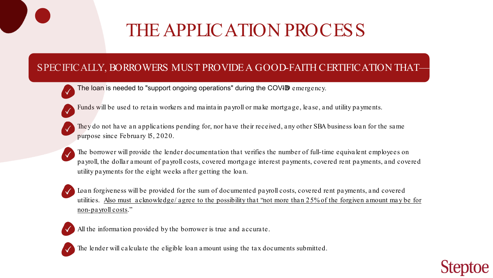## SPECIFICALLY, BORROWERS MUST PROVIDE A GOOD-FAITH CERTIFICATION THAT—

The loan is needed to "support ongoing operations" during the COVID emergency.



Funds will be used to retain workers and maintain payroll or make mortgage, lease, and utility payments.



They do not have an applications pending for, nor have their received, any other SBA business loan for the same purpose since February 15, 2020.



# THE APPLICATION PROCESS

The borrower will provide the lender documentation that verifies the number of full-time equivalent employees on payroll, the dollar amount of payroll costs, covered mortgage interest payments, covered rent payments, and covered utility payments for the eight weeks after getting the loan.



Loan forgiveness will be provided for the sum of documented payroll costs, covered rent payments, and covered utilities. Also must acknowledge/ agree to the possibility that "not more than 25% of the forgiven amount may be for non-payroll costs."

All the information provided by the borrower is true and accurate.



The lender will calculate the eligible loan amount using the tax documents submitted.

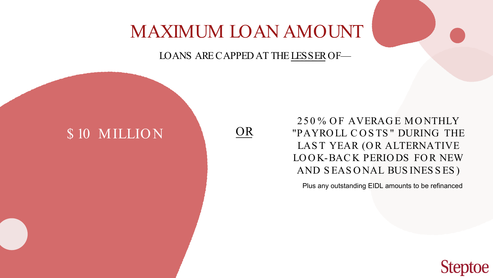## 25 0 % O F AVERAG E MO NTHLY "PAYRO LL C O S TS " DURING THE LAST YEAR (OR ALTERNATIVE LOOK-BACK PERIODS FOR NEW AND S EAS O NAL BUS INES S ES )

Plus any outstanding EIDL amounts to be refinanced



# MAXIMUM LOAN AMOUNT

### LOANS ARE CAPPED AT THE LESSEROF—

## \$ 10 MILLION

OR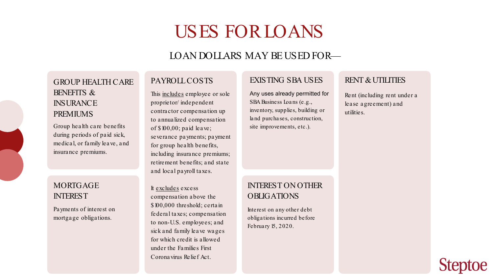#### EXISTING SBA USES

Any uses already permitted for SBA Business Loa ns (e.g., inventory, supplies, building or la nd purcha ses, construction, site improvements, etc.).

# USES FOR LOANS

### LOAN DOLLARS MAY BE USED FOR—

#### PAYROLL COSTS

This includes employee or sole proprietor/ independent contractor compensation up to annualized compensation of \$100,00; paid leave; severance payments; payment for group health benefits, including insurance premiums; retirement benefits; and state and local payroll taxes.

It excludes excess compensation above the \$100,000 threshold; certain federal taxes; compensation to non-U.S. employees; and sick and family leave wages for which credit is allowed under the Families First Coronavirus Relief Act.

#### GROUP HEALTH CARE BENEFITS & **INSURANCE** PREMIUMS

Group health care benefits during periods of paid sick, medical, or family leave, and insurance premiums.

#### MORTGAGE INTEREST

Payments of interest on mortgage obligations.

#### RENT & UTILITIES

Rent (including rent under a lease agreement) and utilities.



#### INTEREST ON OTHER OBLIGATIONS

Interest on a ny other debt obliga tions incurred before Februa ry 15, 2020.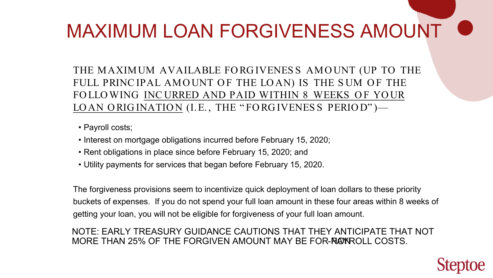- Payroll costs;
- Interest on mortgage obligations incurred before February 15, 2020;
- Rent obligations in place since before February 15, 2020; and
- Utility payments for services that began before February 15, 2020.

NOTE: EARLY TREASURY GUIDANCE CAUTIONS THAT THEY ANTICIPATE THAT NOT MORE THAN 25% OF THE FORGIVEN AMOUNT MAY BE FOR-ROW ROLL COSTS.



The forgiveness provisions seem to incentivize quick deployment of loan dollars to these priority buckets of expenses. If you do not spend your full loan amount in these four areas within 8 weeks of getting your loan, you will not be eligible for forgiveness of your full loan amount.

# MAXIMUM LOAN FORGIVENESS AMOUNT

THE MAXIMUM AVAILABLE FO RG IVENES S AMO UNT (UP TO THE FULL PRINC IPAL AMOUNT OF THE LOAN) IS THE SUM OF THE FO LLO WING INCURRED AND PAID WITHIN 8 WEEKS OF YOUR LOAN ORIGINATION (I.E., THE "FORGIVENESS PERIOD")—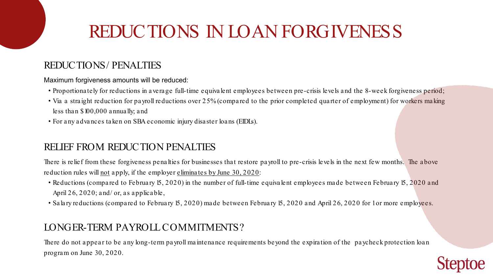# REDUCTIONS IN LOAN FORGIVENESS

### REDUCTIONS/ PENALTIES

### RELIEF FROM REDUCTION PENALTIES

There is relief from these forgiveness penalties for businesses that restore payroll to pre-crisis levels in the next few months. The above reduction rules will not apply, if the employer eliminates by June 30, 2020:

- Reductions (compared to February 15, 2020) in the number of full-time equivalent employees made between February 15, 2020 and April 26, 2020; and/ or, as applicable,
- Salary reductions (compared to February 15, 2020) made between February 15, 2020 and April 26, 2020 for 1 or more employees.

### LONGER-TERM PAYROLL COMMITMENTS?

Maximum forgiveness amounts will be reduced:

- Proportionately for reductions in average full-time equivalent employees between pre-crisis levels and the 8-week forgiveness period;
- Via a straight reduction for payroll reductions over 25% (compared to the prior completed quarter of employment) for workers making less than \$100,000 annually; and
- For any advances taken on SBA economic injury disaster loans (EIDLs).

There do not appear to be any long-term payroll maintenance requirements beyond the expiration of the paycheck protection loan program on June 30, 2020.

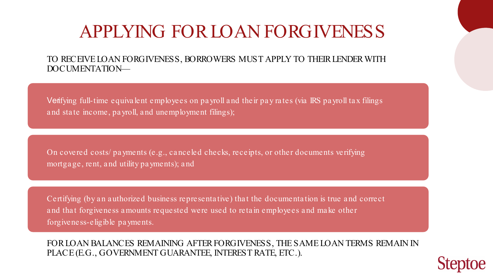#### TO RECEIVE LOAN FORGIVENESS, BORROWERS MUST APPLY TO THEIR LENDER WITH DOCUMENTATION—

Verifying full-time equivalent employees on payroll and their pay rates (via IRS payroll tax filings a nd sta te income, pa yroll, a nd unemployment filings);

Certifying (by an authorized business representative) that the documentation is true and correct and that forgiveness amounts requested were used to retain employees and make other forgiveness-eligible pa yments.

On covered costs/ pa yments (e.g., ca nceled checks, receipts, or other documents verifying mortga ge, rent, a nd utility pa yments); a nd

# APPLYING FOR LOAN FORGIVENESS

FOR LOAN BALANCES REMAINING AFTER FORGIVENESS, THE SAME LOAN TERMS REMAIN IN PLACE (E.G., GOVERNMENT GUARANTEE, INTEREST RATE, ETC.).

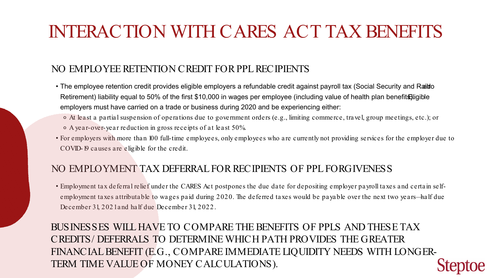# INTERACTION WITH CARES ACT TAX BENEFITS

### NO EMPLOYEE RETENTION CREDIT FOR PPL RECIPIENTS

### NO EMPLOYMENT TAX DEFERRAL FOR RECIPIENTS OF PPL FORGIVENESS

- The employee retention credit provides eligible employers a refundable credit against payroll tax (Social Security and Raildo Retirement) liability equal to 50% of the first \$10,000 in wages per employee (including value of health plan benefits) ligible employers must have carried on a trade or business during 2020 and be experiencing either: ⚬ At least a partial suspension of operations due to government orders (e.g., limiting commerce, travel, group meetings, etc.); or
	- ⚬ A year-over-year reduction in gross receipts of at least 50%.
- For employers with more than 100 full-time employees, only employees who are currently not providing services for the employer due to COVID-19 causes are eligible for the credit.

• Employment tax deferral relief under the CARES Act postpones the due date for depositing employer payroll taxes and certain selfemployment taxes attributable to wages paid during 2020. The deferred taxes would be payable over the next two years—half due December 31, 2021 and half due December 31, 2022.

BUSINESSES WILL HAVE TO COMPARE THE BENEFITS OF PPLS AND THESE TAX CREDITS/ DEFERRALS TO DETERMINE WHICH PATH PROVIDES THE GREATER FINANCIAL BENEFIT (E.G., COMPARE IMMEDIATE LIQUIDITY NEEDS WITH LONGER-TERM TIME VALUE OF MONEY CALCULATIONS).

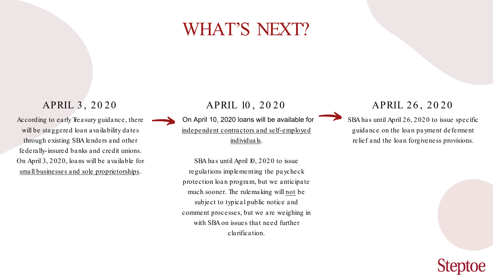APRIL 10 , 20 20

On April 10, 2020 loans will be available for independent contractors and self-employed individuals.

SBA has until April 10, 2020 to issue regulations implementing the paycheck protection loan program, but we anticipate much sooner. The rulemaking will not be subject to typical public notice and comment processes, but we are weighing in with SBA on issues that need further clarification.

According to early Treasury guidance, there will be sta ggered loa n a va ila bility da tes through existing SBA lenders and other federally-insured banks and credit unions. On April 3, 2020, loans will be available for small businesses and sole proprietorships.

#### APRIL 3 , 20 20

### APRIL 26 , 20 20



SBA has until April 26, 2020 to issue specific guidance on the loan payment deferment relief and the loan forgiveness provisions.



# WHAT'S NEXT?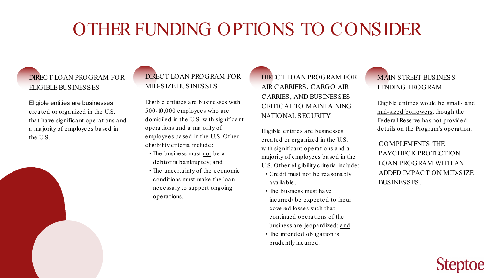#### DIRECT LOAN PROGRAM FOR ELIGIBLE BUSINESSES

Eligible entities are businesses crea ted or orga nized in the U.S. that have significant operations and a ma jority of employees ba sed in the U.S.



#### DIRECT LOAN PROGRAM FOR MID-SIZE BUSINESSES

Eligible entities a re businesses with 500-10,000 employees who a re domiciled in the U.S. with significa nt opera tions a nd a ma jority of employees ba sed in the U.S. Other eligibility criteria include:

- The business must not be a debtor in bankruptcy; and
- The uncerta inty of the economic conditions must ma ke the loa n necessa ry to support ongoing opera tions.

DIRECT LOAN PROGRAM FOR AIR CARRIERS, CARGO AIR CARRIES, AND BUSINESSES CRITICAL TO MAINTAINING NATIONAL SECURITY

> COMPLEMENTS THE PAYCHECK PROTECTION LOAN PROGRAM WITH AN ADDED IMPACT ON MID-SIZE BUSINESSES.



Eligible entities a re businesses crea ted or orga nized in the U.S. with significa nt opera tions a nd a ma jority of employees ba sed in the U.S. Other eligibility criteria include: • Credit must not be rea sona bly

incurred/ be expected to incur business a re jeopa rdized; and

- a va ila ble;
- The business must ha ve covered losses such tha t continued opera tions of the
- The intended obliga tion is prudently incurred.

# OTHER FUNDING OPTIONS TO CONSIDER

#### MAIN STREET BUSINESS LENDING PROGRAM

Eligible entities would be sma ll- and mid-sized borrowers, though the Federa l Reserve ha s not provided deta ils on the Progra m's opera tion.